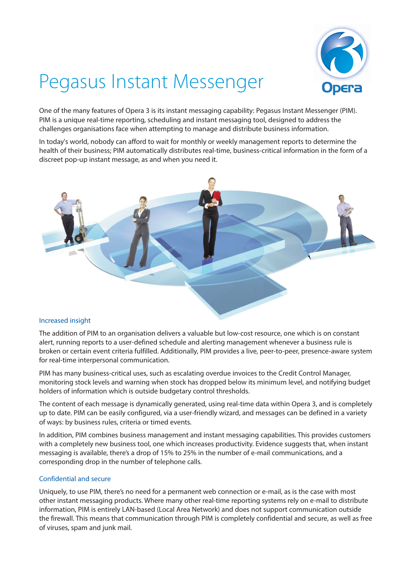

# Pegasus Instant Messenger

One of the many features of Opera 3 is its instant messaging capability: Pegasus Instant Messenger (PIM). PIM is a unique real-time reporting, scheduling and instant messaging tool, designed to address the challenges organisations face when attempting to manage and distribute business information.

In today's world, nobody can afford to wait for monthly or weekly management reports to determine the health of their business; PIM automatically distributes real-time, business-critical information in the form of a discreet pop-up instant message, as and when you need it.



## Increased insight

The addition of PIM to an organisation delivers a valuable but low-cost resource, one which is on constant alert, running reports to a user-defined schedule and alerting management whenever a business rule is broken or certain event criteria fulfilled. Additionally, PIM provides a live, peer-to-peer, presence-aware system for real-time interpersonal communication.

PIM has many business-critical uses, such as escalating overdue invoices to the Credit Control Manager, monitoring stock levels and warning when stock has dropped below its minimum level, and notifying budget holders of information which is outside budgetary control thresholds.

The content of each message is dynamically generated, using real-time data within Opera 3, and is completely up to date. PIM can be easily configured, via a user-friendly wizard, and messages can be defined in a variety of ways: by business rules, criteria or timed events.

In addition, PIM combines business management and instant messaging capabilities. This provides customers with a completely new business tool, one which increases productivity. Evidence suggests that, when instant messaging is available, there's a drop of 15% to 25% in the number of e-mail communications, and a corresponding drop in the number of telephone calls.

## Confidential and secure

Uniquely, to use PIM, there's no need for a permanent web connection or e-mail, as is the case with most other instant messaging products. Where many other real-time reporting systems rely on e-mail to distribute information, PIM is entirely LAN-based (Local Area Network) and does not support communication outside the firewall. This means that communication through PIM is completely confidential and secure, as well as free of viruses, spam and junk mail.